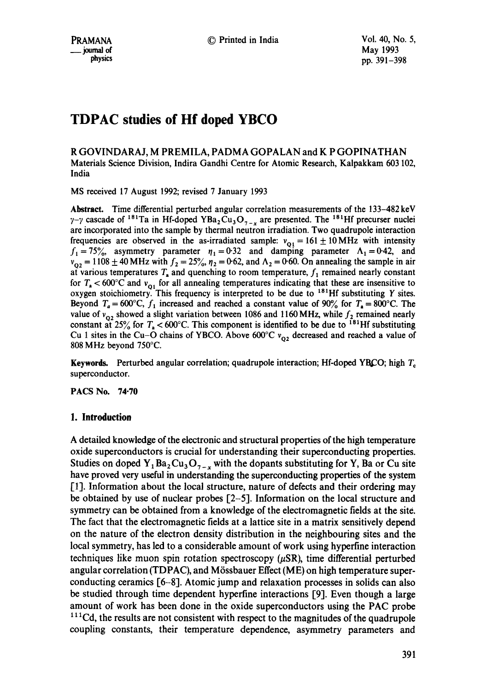R GOVINDARAJ, M PREMILA, PADMA GOPALAN and K P GOPINATHAN Materials Science Division, Indira Gandhi Centre for Atomic Research, Kalpakkam 603 102, India

MS received 17 August 1992; revised 7 January 1993

Abstract. Time differential perturbed angular correlation measurements of the 133-482 keV  $\gamma$ - $\gamma$  cascade of <sup>181</sup>Ta in Hf-doped YBa<sub>2</sub>Cu<sub>3</sub>O<sub>7-y</sub> are presented. The <sup>181</sup>Hf precurser nuclei are incorporated into the sample by thermal neutron irradiation. Two quadrupole interaction frequencies are observed in the as-irradiated sample:  $v_{\text{Q1}} = 161 \pm 10 \text{ MHz}$  with intensity  $f_1=75\%$ , asymmetry parameter  $r_1=0.32$  and damping parameter  $\Lambda_1=0.42$ , and  $v_{02} = 1108 \pm 40$  MHz with  $f_2 = 25\%$ ,  $\eta_2 = 0.62$ , and  $\Lambda_2 = 0.60$ . On annealing the sample in air at various temperatures  $T_a$  and quenching to room temperature,  $f_1$  remained nearly constant for  $T_a < 600^{\circ}$ C and  $v_{01}$  for all annealing temperatures indicating that these are insensitive to oxygen stoichiometry. This frequency is interpreted to be due to  $181$ Hf substituting Y sites. Beyond  $T_a = 600^{\circ}\text{C}$ ,  $f_1$  increased and reached a constant value of 90% for  $T_a = 800^{\circ}\text{C}$ . The value of  $v_{02}$  showed a slight variation between 1086 and 1160 MHz, while  $f_2$  remained nearly constant at  $25\%$  for  $T_a < 600^{\circ}$ C. This component is identified to be due to <sup>181</sup>Hf substituting Cu 1 sites in the Cu-O chains of YBCO. Above  $600^{\circ}$ C  $v_{02}$  decreased and reached a value of 808 MHz beyond 750°C.

Keywords. Perturbed angular correlation; quadrupole interaction; Hf-doped YBCO; high  $T_c$ superconductor.

PACS No. 74.70

## **1. Introduction**

A detailed knowledge of the electronic and structural properties of the high temperature oxide superconductors is crucial for understanding their superconducting properties. Studies on doped  $Y_1Ba_2Cu_3O_{7-x}$  with the dopants substituting for Y, Ba or Cu site have proved very useful in understanding the superconducting properties of the system [1]. Information about the local structure, nature of defects and their ordering may be obtained by use of nuclear probes [2-5]. Information on the local structure and symmetry can be obtained from a knowledge of the electromagnetic fields at the site. The fact that the electromagnetic fields at a lattice site in a matrix sensitively depend on the nature of the electron density distribution in the neighbouring sites and the local symmetry, has led to a considerable amount of work using hyperfine interaction techniques like muon spin rotation spectroscopy  $(\mu SR)$ , time differential perturbed angular correlation (TDPAC), and Mössbauer Effect (ME) on high temperature superconducting ceramics [6-8]. Atomic jump and relaxation processes in solids can also be studied through time dependent hyperfine interactions [9]. Even though a large amount of work has been done in the oxide superconductors using the PAC probe  $<sup>111</sup>Cd$ , the results are not consistent with respect to the magnitudes of the quadrupole</sup> coupling constants, their temperature dependence, asymmetry parameters and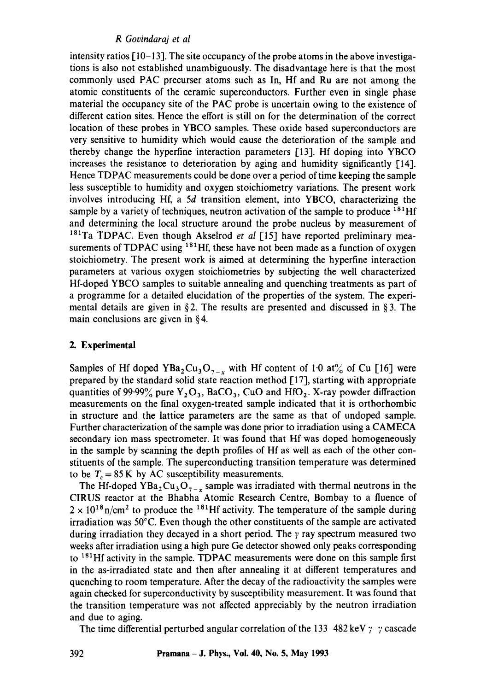## *R Govindaraj et al*

intensity ratios [ 10-13]. The site occupancy of the probe atoms in the above investigations is also not established unambiguously. The disadvantage here is that the most commonly used PAC precurser atoms such as In, Hf and Ru are not among the atomic constituents of the ceramic superconductors. Further even in single phase material the occupancy site of the PAC probe is uncertain owing to the existence of different cation sites. Hence the effort is still on for the determination of the correct location of these probes in YBCO samples. These oxide based superconductors are very sensitive to humidity which would cause the deterioration of the sample and thereby change the hyperfine interaction parameters [13]. Hf doping into YBCO increases the resistance to deterioration by aging and humidity significantly [14]. Hence TDPAC measurements could be done over a period of time keeping the sample less susceptible to humidity and oxygen stoichiometry variations. The present work involves introducing Hf, a 5d transition element, into YBCO, characterizing the sample by a variety of techniques, neutron activation of the sample to produce  $^{181}$ Hf and determining the local structure around the probe nucleus by measurement of <sup>181</sup>Ta TDPAC. Even though Akselrod *et al* [15] have reported preliminary measurements of  $TDPAC$  using  $181$ Hf, these have not been made as a function of oxygen stoichiometry. The present work is aimed at determining the hyperfine interaction parameters at various oxygen stoichiometries by subjecting the well characterized Hf-doped YBCO samples to suitable annealing and quenching treatments as part of a programme for a detailed elucidation of the properties of the system. The experimental details are given in §2. The results are presented and discussed in §3. The main conclusions are given in § 4.

## **2. Experimental**

Samples of Hf doped YBa<sub>2</sub>Cu<sub>3</sub>O<sub>7-x</sub> with Hf content of 1.0 at% of Cu [16] were prepared by the standard solid state reaction method [17], starting with appropriate quantities of 99.99% pure  $Y_2O_3$ , BaCO<sub>3</sub>, CuO and HfO<sub>2</sub>. X-ray powder diffraction measurements on the final oxygen-treated sample indicated that it is orthorhombic in structure and the lattice parameters are the same as that of undoped sample. Further characterization of the sample was done prior to irradiation using a CAMECA secondary ion mass spectrometer. It was found that Hf was doped homogeneously in the sample by scanning the depth profiles of Hf as well as each of the other constituents of the sample. The superconducting transition temperature was determined to be  $T_c = 85$  K by AC susceptibility measurements.

The Hf-doped YBa<sub>2</sub>Cu<sub>3</sub>O<sub>7-x</sub> sample was irradiated with thermal neutrons in the CIRUS reactor at the Bhabha Atomic Research Centre, Bombay to a fluence of  $2 \times 10^{18}$  n/cm<sup>2</sup> to produce the <sup>181</sup>Hf activity. The temperature of the sample during irradiation was 50°C. Even though the other constituents of the sample are activated during irradiation they decayed in a short period. The  $\gamma$  ray spectrum measured two weeks after irradiation using a high pure Ge detector showed only peaks corresponding to  $181$ Hf activity in the sample. TDPAC measurements were done on this sample first in the as-irradiated state and then after annealing it at different temperatures and quenching to room temperature. After the decay of the radioactivity the samples were again checked for superconductivity by susceptibility measurement. It was found that the transition temperature was not affected appreciably by the neutron irradiation and due to aging.

The time differential perturbed angular correlation of the  $133-482$  keV  $\gamma$ - $\gamma$  cascade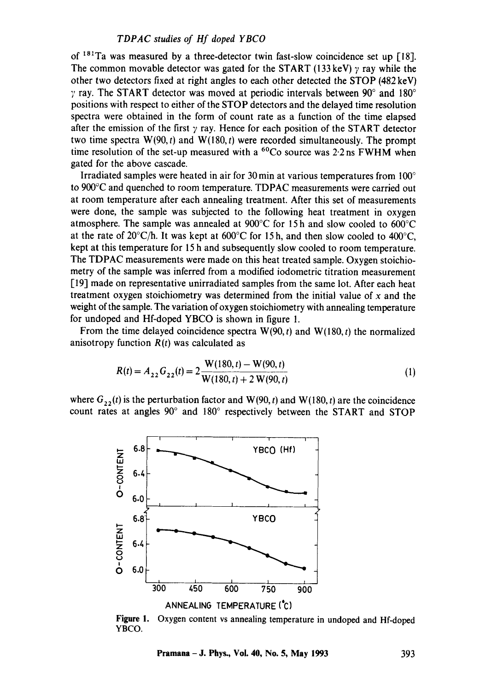of  $181$ Ta was measured by a three-detector twin fast-slow coincidence set up [18]. The common movable detector was gated for the START (133 keV)  $\gamma$  ray while the other two detectors fixed at right angles to each other detected the STOP (482 keV)  $\gamma$  ray. The START detector was moved at periodic intervals between 90 $^{\circ}$  and 180 $^{\circ}$ positions with respect to either of the STOP detectors and the delayed time resolution spectra were obtained in the form of count rate as a function of the time elapsed after the emission of the first  $\gamma$  ray. Hence for each position of the START detector two time spectra  $W(90, t)$  and  $W(180, t)$  were recorded simultaneously. The prompt time resolution of the set-up measured with a  ${}^{60}Co$  source was 2.2 ns FWHM when gated for the above cascade.

Irradiated samples were heated in air for 30 min at various temperatures from 100° to 900°C and quenched to room temperature. TDPAC measurements were carried out at room temperature after each annealing treatment. After this set of measurements were done, the sample was subjected to the following heat treatment in oxygen atmosphere. The sample was annealed at 900°C for 15 h and slow cooled to 600°C at the rate of 20°C/h. It was kept at 600°C for 15 h, and then slow cooled to 400°C, kept at this temperature for 15 h and subsequently slow cooled to room temperature. The TDPAC measurements were made on this heat treated sample. Oxygen stoichiomerry of the sample was inferred from a modified iodometric titration measurement [19] made on representative unirradiated samples from the same lot. After each heat treatment oxygen stoichiometry was determined from the initial value of  $x$  and the weight of the sample. The variation of oxygen stoichiometry with annealing temperature for undoped and Hf-doped YBCO is shown in figure 1.

From the time delayed coincidence spectra  $W(90, t)$  and  $W(180, t)$  the normalized anisotropy function  $R(t)$  was calculated as

$$
R(t) = A_{22} G_{22}(t) = 2 \frac{W(180, t) - W(90, t)}{W(180, t) + 2 W(90, t)}
$$
(1)

where  $G_{22}(t)$  is the perturbation factor and W(90, t) and W(180, t) are the coincidence count rates at angles 90° and 180° respectively between the START and STOP



**Figure 1.**  Oxygen content vs annealing temperature in undoped and Hf-doped YBCO.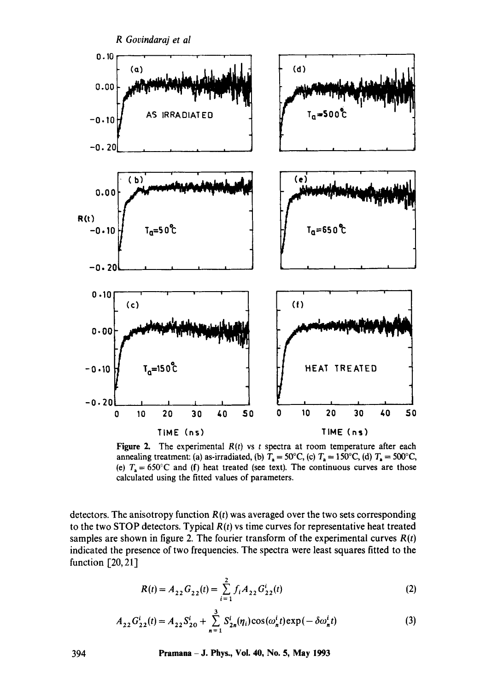

**Figure 2.** The experimental  $R(t)$  vs t spectra at room temperature after each annealing treatment: (a) as-irradiated, (b)  $T_a = 50^{\circ}$ C, (c)  $T_a = 150^{\circ}$ C, (d)  $T_a = 500^{\circ}$ C, (e)  $T_a = 650^{\circ}$ C and (f) heat treated (see text). The continuous curves are those calculated using the fitted values of parameters.

detectors. The anisotropy function *R(t)* was averaged over the two sets corresponding to the two STOP detectors. Typical *R(t)* vs time curves for representative heat treated samples are shown in figure 2. The fourier transform of the experimental curves  $R(t)$ indicated the presence of two frequencies. The spectra were least squares fitted to the function [20, 21]

$$
R(t) = A_{22} G_{22}(t) = \sum_{i=1}^{2} f_i A_{22} G_{22}^{i}(t)
$$
 (2)

$$
A_{22}G_{22}^{i}(t) = A_{22}S_{20}^{i} + \sum_{n=1}^{3} S_{2n}^{i}(\eta_{i})\cos(\omega_{n}^{i}t)\exp(-\delta\omega_{n}^{i}t)
$$
(3)

394 Pntmana - J. Phys., Vol. 40, No. 5, May 1993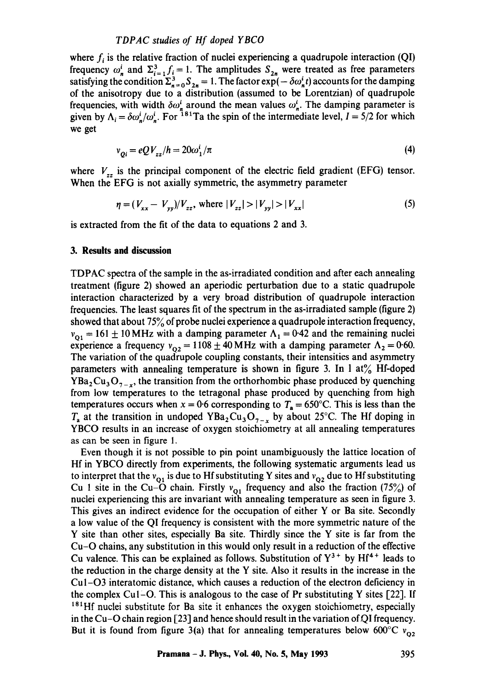where  $f_i$  is the relative fraction of nuclei experiencing a quadrupole interaction (QI) frequency  $\omega_n^i$  and  $\Sigma_{i=1}^3 f_i = 1$ . The amplitudes  $S_{2n}$  were treated as free parameters satisfying the condition  $\Sigma_{n=0}^3 S_{2n} = 1$ . The factor  $\exp(-\delta \omega_n^i t)$  accounts for the damping of the anisotropy due to a distribution (assumed to be Lorentzian) of quadrupole frequencies, with width  $\delta \omega_x^i$  around the mean values  $\omega_x^i$ . The damping parameter is given by  $\Lambda_i = \delta \omega_n^j / \omega_n^j$ . For <sup>181</sup>Ta the spin of the intermediate level,  $I = 5/2$  for which we get

$$
v_{oi} = eQV_{zz}/h = 20\omega_1^i/\pi
$$
\n<sup>(4)</sup>

where  $V_{zz}$  is the principal component of the electric field gradient (EFG) tensor. When the EFG is not axially symmetric, the asymmetry parameter

$$
\eta = (V_{xx} - V_{yy})/V_{zz}, \text{ where } |V_{zz}| > |V_{yy}| > |V_{xx}| \tag{5}
$$

is extracted from the fit of the data to equations 2 and 3.

#### **3. Results and discussion**

TDPAC spectra of the sample in the as-irradiated condition and after each annealing treatment (figure 2) showed an aperiodic perturbation due to a static quadrupole interaction characterized by a very broad distribution of quadrupole interaction frequencies. The least squares fit of the spectrum in the as-irradiated sample (figure 2) showed that about 75% of probe nuclei experience a quadrupole interaction frequency,  $v_{01} = 161 \pm 10 \text{ MHz}$  with a damping parameter  $\Lambda_1 = 0.42$  and the remaining nuclei experience a frequency  $v_{02} = 1108 \pm 40$  MHz with a damping parameter  $\Lambda_2 = 0.60$ . The variation of the quadrupole coupling constants, their intensities and asymmetry parameters with annealing temperature is shown in figure 3. In 1 at% Hf-doped  $YBa<sub>2</sub>Cu<sub>3</sub>O<sub>7-x</sub>$ , the transition from the orthorhombic phase produced by quenching from low temperatures to the tetragonal phase produced by quenching from high temperatures occurs when  $x = 0.6$  corresponding to  $T_a = 650^{\circ}$ C. This is less than the  $T_a$  at the transition in undoped YBa<sub>2</sub>Cu<sub>3</sub>O<sub>7-x</sub> by about 25°C. The Hf doping in YBCO results in an increase of oxygen stoichiometry at all annealing temperatures as can be seen in figure 1.

Even though it is not possible to pin point unambiguously the lattice location of Hf in YBCO directly from experiments, the following systematic arguments lead us to interpret that the  $v_{01}$  is due to Hf substituting Y sites and  $v_{02}$  due to Hf substituting Cu 1 site in the Cu-O chain. Firstly  $v_{01}$  frequency and also the fraction (75%) of nuclei experiencing this are invariant with annealing temperature as seen in figure 3. This gives an indirect evidence for the occupation of either Y or Ba site. Secondly a low value of the QI frequency is consistent with the more symmetric nature of the Y site than other sites, especially Ba site. Thirdly since the Y site is far from the Cu-O chains, any substitution in this would only result in a reduction of the effective Cu valence. This can be explained as follows. Substitution of  $Y^{3+}$  by Hf<sup>4+</sup> leads to the reduction in the charge density at the Y site. Also it results in the increase in the Cul-O3 interatomic distance, which causes a reduction of the electron deficiency in the complex Cul-O. This is analogous to the case of Pr substituting Y sites [22]. If  $181$ Hf nuclei substitute for Ba site it enhances the oxygen stoichiometry, especially in the Cu-O chain region  $[23]$  and hence should result in the variation of QI frequency. But it is found from figure 3(a) that for annealing temperatures below 600°C  $v_{02}$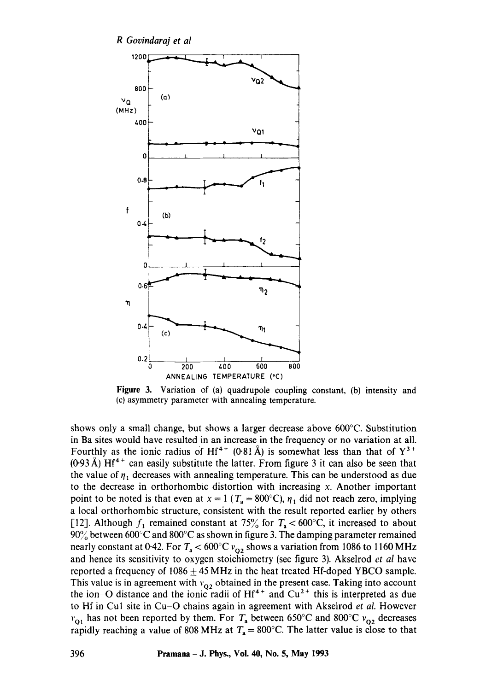*R Govindaraj et al* 



**Figure** 3. Variation of (a) quadrupole coupling constant, (b) intensity and (c) asymmetry parameter with annealing temperature.

shows only a small change, but shows a larger decrease above 600°C. Substitution in Ba sites would have resulted in an increase in the frequency or no variation at all. Fourthly as the ionic radius of Hf<sup>4+</sup> (0.81 Å) is somewhat less than that of  $Y^{3+}$  $(0.93 \text{ Å})$  Hf<sup>4+</sup> can easily substitute the latter. From figure 3 it can also be seen that the value of  $\eta_1$  decreases with annealing temperature. This can be understood as due to the decrease in orthorhombic distortion with increasing x. Another important point to be noted is that even at  $x = 1$  ( $T_a = 800^{\circ}$ C),  $\eta_1$  did not reach zero, implying a local orthorhombic structure, consistent with the result reported earlier by others [12]. Although  $f_1$  remained constant at 75% for  $T_a < 600^{\circ}$ C, it increased to about  $90\%$  between  $600\degree$ C and  $800\degree$ C as shown in figure 3. The damping parameter remained nearly constant at 0.42. For  $T_a < 600^{\circ}C v_{02}$  shows a variation from 1086 to 1160 MHz and hence its sensitivity to oxygen stoichiometry (see figure 3). Akselrod *et al* have reported a frequency of  $1086 \pm 45 \text{ MHz}$  in the heat treated Hf-doped YBCO sample. This value is in agreement with  $v_{02}$  obtained in the present case. Taking into account the ion–O distance and the ionic radii of  $Hf^{4+}$  and  $Cu^{2+}$  this is interpreted as due to Hf in Cul site in Cu-O chains again in agreement with Akselrod *et al.* However  $v_{Q1}$  has not been reported by them. For  $T_a$  between 650°C and 800°C  $v_{Q2}$  decreases rapidly reaching a value of 808 MHz at  $T_a = 800^{\circ}$ C. The latter value is close to that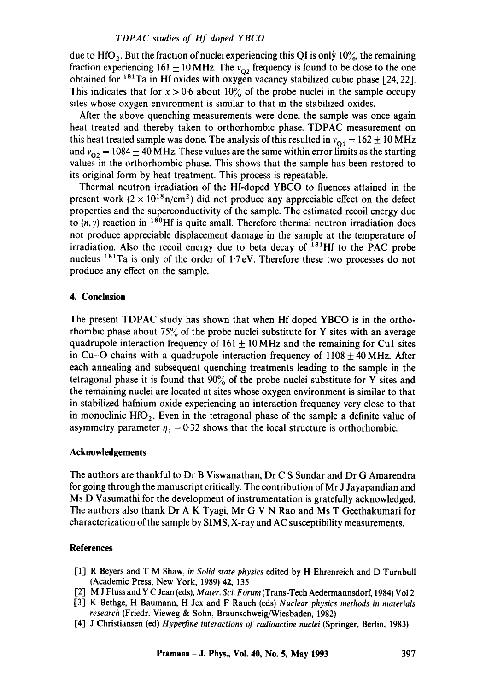due to  $HfO_2$ . But the fraction of nuclei experiencing this QI is only 10%, the remaining fraction experiencing 161  $\pm$  10 MHz. The  $v_{02}$  frequency is found to be close to the one obtained for  $181$ Ta in Hf oxides with oxygen vacancy stabilized cubic phase [24, 22]. This indicates that for  $x > 0.6$  about 10% of the probe nuclei in the sample occupy sites whose oxygen environment is similar to that in the stabilized oxides.

After the above quenching measurements were done, the sample was once again heat treated and thereby taken to orthorhombic phase. TDPAC measurement on this heat treated sample was done. The analysis of this resulted in  $v_{01} = 162 \pm 10$  MHz and  $v_{02} = 1084 \pm 40$  MHz. These values are the same within error limits as the starting values in the orthorhombic phase. This shows that the sample has been restored to its original form by heat treatment. This process is repeatable.

Thermal neutron irradiation of the Hf-doped YBCO to fluences attained in the present work  $(2 \times 10^{18} \text{ n/cm}^2)$  did not produce any appreciable effect on the defect properties and the superconductivity of the sample. The estimated recoil energy due to  $(n, \gamma)$  reaction in <sup>180</sup>Hf is quite small. Therefore thermal neutron irradiation does not produce appreciable displacement damage in the sample at the temperature of irradiation. Also the recoil energy due to beta decay of  $^{181}$ Hf to the PAC probe nucleus  $181$ Ta is only of the order of 1.7eV. Therefore these two processes do not produce any effect on the sample.

#### 4. **Conclusion**

The present TDPAC study has shown that when Hf doped YBCO is in the orthorhombic phase about  $75\%$  of the probe nuclei substitute for Y sites with an average quadrupole interaction frequency of  $161 \pm 10$  MHz and the remaining for Cu1 sites in Cu-O chains with a quadrupole interaction frequency of 1108 + 40 MHz. After each annealing and subsequent quenching treatments leading to the sample in the tetragonal phase it is found that  $90\%$  of the probe nuclei substitute for Y sites and the remaining nuclei are located at sites whose oxygen environment is similar to that in stabilized hafnium oxide experiencing an interaction frequency very close to that in monoclinic  $HfO<sub>2</sub>$ . Even in the tetragonal phase of the sample a definite value of asymmetry parameter  $\eta_1 = 0.32$  shows that the local structure is orthorhombic.

#### **Acknowledgements**

The authors are thankful to Dr B Viswanathan, Dr C S Sundar and Dr G Amarendra for going through the manuscript critically. The contribution of Mr J Jayapandian and Ms D Vasumathi for the development of instrumentation is gratefully acknowledged. The authors also thank Dr A K Tyagi, Mr G V N Rao and Ms T Geethakumari for characterization of the sample by SIMS, X-ray and AC susceptibility measurements.

#### **References**

- [1] R Beyers and T M Shaw, *in Solid state physics* edited by H Ehrenreich and D Turnbull (Academic Press, New York, 1989) 42, 135
- [2] M J Fluss and Y C Jean (eds), Mater. Sci. Forum (Trans-Tech Aedermannsdorf, 1984) Vol 2
- [3] K Bethge, H Baumann, H Jex and F Rauch (eds) *Nuclear physics methods in materials research* (Friedr. Vieweg & Sohn, Braunschweig/Wiesbaden, 1982)
- I'4] J Christiansen (ed) *Hyperfine interactions of radioactive nuclei* (Springer, Berlin, 1983)